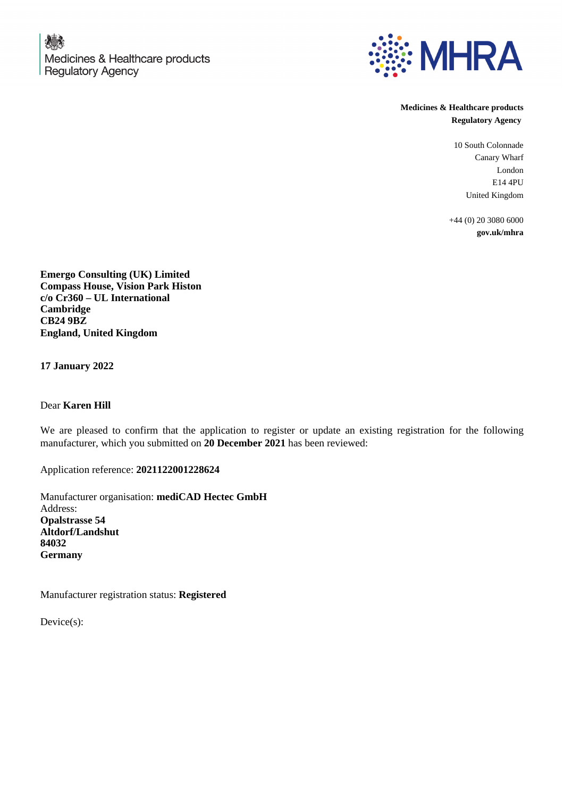

**Medicines & Healthcare products Regulatory Agency**

> 10 South Colonnade Canary Wharf London E14 4PU United Kingdom

+44 (0) 20 3080 6000 **gov.uk/mhra**

**Emergo Consulting (UK) Limited Compass House, Vision Park Histon c/o Cr360 – UL International Cambridge CB24 9BZ England, United Kingdom**

**17 January 2022**

Dear **Karen Hill**

We are pleased to confirm that the application to register or update an existing registration for the following manufacturer, which you submitted on **20 December 2021** has been reviewed:

Application reference: **2021122001228624**

Manufacturer organisation: **mediCAD Hectec GmbH** Address: **Opalstrasse 54 Altdorf/Landshut 84032 Germany**

Manufacturer registration status: **Registered**

Device(s):